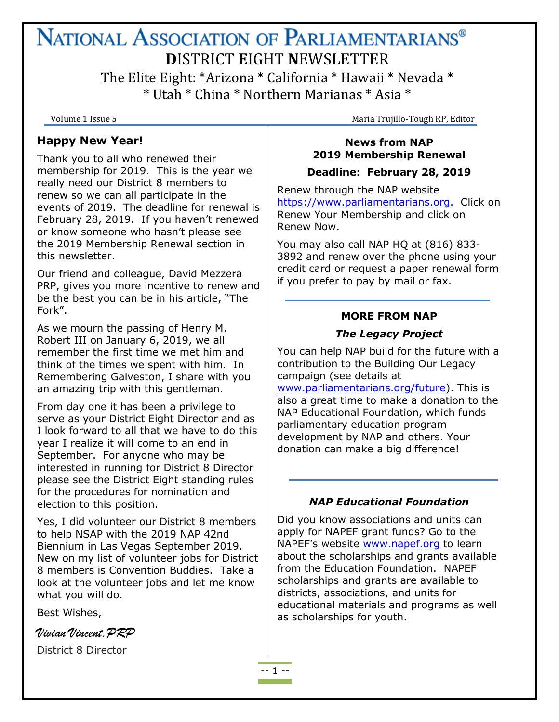# NATIONAL ASSOCIATION OF PARLIAMENTARIANS® **D**ISTRICT **E**IGHT **N**EWSLETTER The Elite Eight: \*Arizona \* California \* Hawaii \* Nevada \* \* Utah \* China \* Northern Marianas \* Asia \*

Volume 1 Issue 5 Maria Trujillo-Tough RP, Editor

#### **Happy New Year!**

Thank you to all who renewed their membership for 2019. This is the year we really need our District 8 members to renew so we can all participate in the events of 2019. The deadline for renewal is February 28, 2019. If you haven't renewed or know someone who hasn't please see the 2019 Membership Renewal section in this newsletter.

Our friend and colleague, David Mezzera PRP, gives you more incentive to renew and be the best you can be in his article, "The Fork".

As we mourn the passing of Henry M. Robert III on January 6, 2019, we all remember the first time we met him and think of the times we spent with him. In Remembering Galveston, I share with you an amazing trip with this gentleman.

From day one it has been a privilege to serve as your District Eight Director and as I look forward to all that we have to do this year I realize it will come to an end in September. For anyone who may be interested in running for District 8 Director please see the District Eight standing rules for the procedures for nomination and election to this position.

Yes, I did volunteer our District 8 members to help NSAP with the 2019 NAP 42nd Biennium in Las Vegas September 2019. New on my list of volunteer jobs for District 8 members is Convention Buddies. Take a look at the volunteer jobs and let me know what you will do.

Best Wishes,

Vivian Vincent,PRP

District 8 Director

## **News from NAP 2019 Membership Renewal**

#### **Deadline: February 28, 2019**

Renew through the NAP website [https://www.parliamentarians.org.](https://www.parliamentarians.org/) Click on Renew Your Membership and click on Renew Now.

You may also call NAP HQ at (816) 833- 3892 and renew over the phone using your credit card or request a paper renewal form if you prefer to pay by mail or fax.

#### **MORE FROM NAP**

## *The Legacy Project*

You can help NAP build for the future with a contribution to the Building Our Legacy campaign (see details at [www.parliamentarians.org/future\)](www.parliamentarians.org/future). This is

also a great time to make a donation to the NAP Educational Foundation, which funds parliamentary education program development by NAP and others. Your donation can make a big difference!

## *NAP Educational Foundation*

Did you know associations and units can apply for NAPEF grant funds? Go to the NAPEF's website [www.napef.org](www.napef.org%20) to learn about the scholarships and grants available from the Education Foundation. NAPEF scholarships and grants are available to districts, associations, and units for educational materials and programs as well as scholarships for youth.

-- 1 --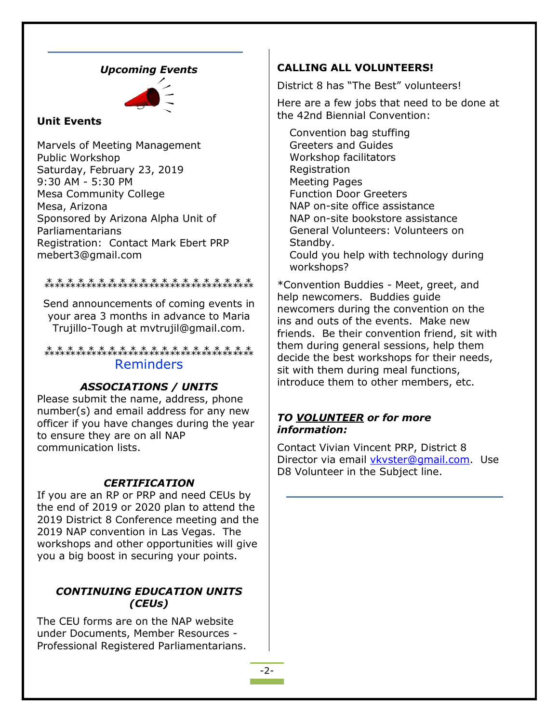#### *Upcoming Events*



### **Unit Events**

Marvels of Meeting Management Public Workshop Saturday, February 23, 2019 9:30 AM - 5:30 PM Mesa Community College Mesa, Arizona Sponsored by Arizona Alpha Unit of Parliamentarians Registration: Contact Mark Ebert PRP mebert3@gmail.com

## ⁂⁂⁂⁂⁂⁂⁂⁂⁂⁂⁂⁂⁂⁂⁂⁂⁂⁂⁂⁂

Send announcements of coming events in your area 3 months in advance to Maria Trujillo-Tough at mvtrujil@gmail.com.

⁂⁂⁂⁂⁂⁂⁂⁂⁂⁂⁂⁂⁂⁂⁂⁂⁂⁂⁂⁂ Reminders

#### *ASSOCIATIONS / UNITS*

Please submit the name, address, phone number(s) and email address for any new officer if you have changes during the year to ensure they are on all NAP communication lists.

#### *CERTIFICATION*

If you are an RP or PRP and need CEUs by the end of 2019 or 2020 plan to attend the 2019 District 8 Conference meeting and the 2019 NAP convention in Las Vegas. The workshops and other opportunities will give you a big boost in securing your points.

## *CONTINUING EDUCATION UNITS (CEUs)*

The CEU forms are on the NAP website under Documents, Member Resources - Professional Registered Parliamentarians.

#### **CALLING ALL VOLUNTEERS!**

District 8 has "The Best" volunteers!

Here are a few jobs that need to be done at the 42nd Biennial Convention:

Convention bag stuffing Greeters and Guides Workshop facilitators Registration Meeting Pages Function Door Greeters NAP on-site office assistance NAP on-site bookstore assistance General Volunteers: Volunteers on Standby. Could you help with technology during workshops?

\*Convention Buddies - Meet, greet, and help newcomers. Buddies guide newcomers during the convention on the ins and outs of the events. Make new friends. Be their convention friend, sit with them during general sessions, help them decide the best workshops for their needs, sit with them during meal functions, introduce them to other members, etc.

#### *TO VOLUNTEER or for more information:*

Contact Vivian Vincent PRP, District 8 Director via email vkvster@gmail.com. Use D8 Volunteer in the Subject line.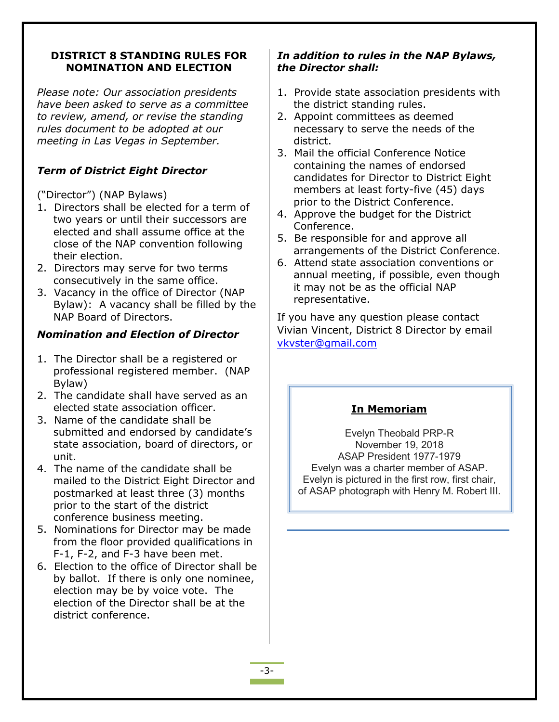### **DISTRICT 8 STANDING RULES FOR NOMINATION AND ELECTION**

*Please note: Our association presidents have been asked to serve as a committee to review, amend, or revise the standing rules document to be adopted at our meeting in Las Vegas in September.*

# *Term of District Eight Director*

("Director") (NAP Bylaws)

- 1. Directors shall be elected for a term of two years or until their successors are elected and shall assume office at the close of the NAP convention following their election.
- 2. Directors may serve for two terms consecutively in the same office.
- 3. Vacancy in the office of Director (NAP Bylaw): A vacancy shall be filled by the NAP Board of Directors.

## *Nomination and Election of Director*

- 1. The Director shall be a registered or professional registered member. (NAP Bylaw)
- 2. The candidate shall have served as an elected state association officer.
- 3. Name of the candidate shall be submitted and endorsed by candidate's state association, board of directors, or unit.
- 4. The name of the candidate shall be mailed to the District Eight Director and postmarked at least three (3) months prior to the start of the district conference business meeting.
- 5. Nominations for Director may be made from the floor provided qualifications in F-1, F-2, and F-3 have been met.
- 6. Election to the office of Director shall be by ballot. If there is only one nominee, election may be by voice vote. The election of the Director shall be at the district conference.

## *In addition to rules in the NAP Bylaws, the Director shall:*

- 1. Provide state association presidents with the district standing rules.
- 2. Appoint committees as deemed necessary to serve the needs of the district.
- 3. Mail the official Conference Notice containing the names of endorsed candidates for Director to District Eight members at least forty-five (45) days prior to the District Conference.
- 4. Approve the budget for the District Conference.
- 5. Be responsible for and approve all arrangements of the District Conference.
- 6. Attend state association conventions or annual meeting, if possible, even though it may not be as the official NAP representative.

If you have any question please contact Vivian Vincent, District 8 Director by email vkvster@gmail.com

# **In Memoriam**

Evelyn Theobald PRP-R November 19, 2018 ASAP President 1977-1979 Evelyn was a charter member of ASAP. Evelyn is pictured in the first row, first chair, of ASAP photograph with Henry M. Robert III.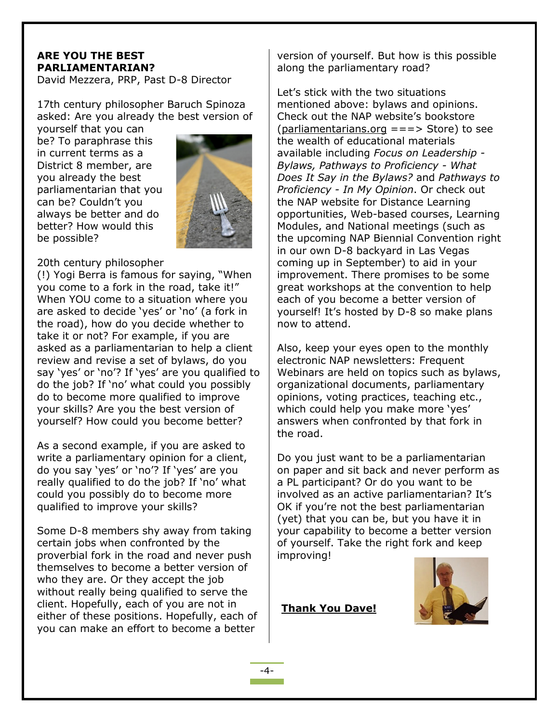## **ARE YOU THE BEST PARLIAMENTARIAN?**

David Mezzera, PRP, Past D-8 Director

17th century philosopher Baruch Spinoza asked: Are you already the best version of

yourself that you can be? To paraphrase this in current terms as a District 8 member, are you already the best parliamentarian that you can be? Couldn't you always be better and do better? How would this be possible?



#### 20th century philosopher

(!) Yogi Berra is famous for saying, "When you come to a fork in the road, take it!" When YOU come to a situation where you are asked to decide 'yes' or 'no' (a fork in the road), how do you decide whether to take it or not? For example, if you are asked as a parliamentarian to help a client review and revise a set of bylaws, do you say 'yes' or 'no'? If 'yes' are you qualified to do the job? If 'no' what could you possibly do to become more qualified to improve your skills? Are you the best version of yourself? How could you become better?

As a second example, if you are asked to write a parliamentary opinion for a client, do you say 'yes' or 'no'? If 'yes' are you really qualified to do the job? If 'no' what could you possibly do to become more qualified to improve your skills?

Some D-8 members shy away from taking certain jobs when confronted by the proverbial fork in the road and never push themselves to become a better version of who they are. Or they accept the job without really being qualified to serve the client. Hopefully, each of you are not in either of these positions. Hopefully, each of you can make an effort to become a better

version of yourself. But how is this possible along the parliamentary road?

Let's stick with the two situations mentioned above: bylaws and opinions. Check out the NAP website's bookstore [\(parliamentarians.org](http://parliamentarians.org/)  $==->$  Store) to see the wealth of educational materials available including *Focus on Leadership - Bylaws, Pathways to Proficiency - What Does It Say in the Bylaws?* and *Pathways to Proficiency - In My Opinion*. Or check out the NAP website for Distance Learning opportunities, Web-based courses, Learning Modules, and National meetings (such as the upcoming NAP Biennial Convention right in our own D-8 backyard in Las Vegas coming up in September) to aid in your improvement. There promises to be some great workshops at the convention to help each of you become a better version of yourself! It's hosted by D-8 so make plans now to attend.

Also, keep your eyes open to the monthly electronic NAP newsletters: Frequent Webinars are held on topics such as bylaws, organizational documents, parliamentary opinions, voting practices, teaching etc., which could help you make more 'yes' answers when confronted by that fork in the road.

Do you just want to be a parliamentarian on paper and sit back and never perform as a PL participant? Or do you want to be involved as an active parliamentarian? It's OK if you're not the best parliamentarian (yet) that you can be, but you have it in your capability to become a better version of yourself. Take the right fork and keep improving!

**Thank You Dave!**

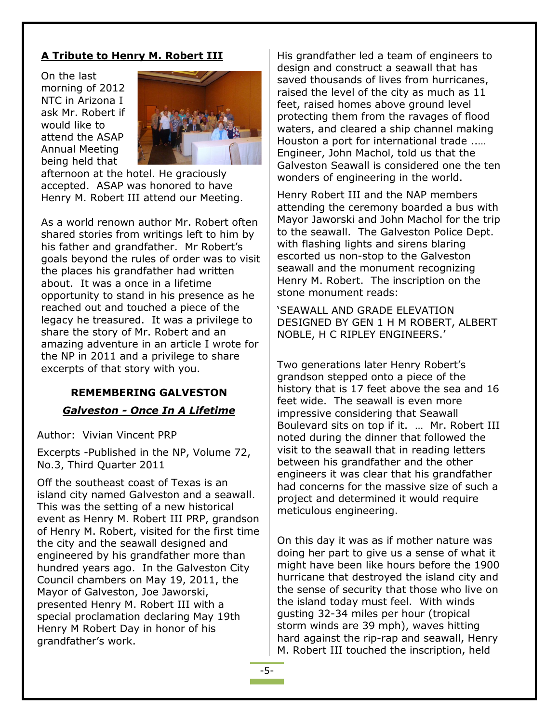### **A Tribute to Henry M. Robert III**

On the last morning of 2012 NTC in Arizona I ask Mr. Robert if would like to attend the ASAP Annual Meeting being held that



afternoon at the hotel. He graciously accepted. ASAP was honored to have Henry M. Robert III attend our Meeting.

As a world renown author Mr. Robert often shared stories from writings left to him by his father and grandfather. Mr Robert's goals beyond the rules of order was to visit the places his grandfather had written about. It was a once in a lifetime opportunity to stand in his presence as he reached out and touched a piece of the legacy he treasured. It was a privilege to share the story of Mr. Robert and an amazing adventure in an article I wrote for the NP in 2011 and a privilege to share excerpts of that story with you.

#### **REMEMBERING GALVESTON**

#### *Galveston - Once In A Lifetime*

Author: Vivian Vincent PRP

Excerpts -Published in the NP, Volume 72, No.3, Third Quarter 2011

Off the southeast coast of Texas is an island city named Galveston and a seawall. This was the setting of a new historical event as Henry M. Robert III PRP, grandson of Henry M. Robert, visited for the first time the city and the seawall designed and engineered by his grandfather more than hundred years ago. In the Galveston City Council chambers on May 19, 2011, the Mayor of Galveston, Joe Jaworski, presented Henry M. Robert III with a special proclamation declaring May 19th Henry M Robert Day in honor of his grandfather's work.

His grandfather led a team of engineers to design and construct a seawall that has saved thousands of lives from hurricanes, raised the level of the city as much as 11 feet, raised homes above ground level protecting them from the ravages of flood waters, and cleared a ship channel making Houston a port for international trade ..… Engineer, John Machol, told us that the Galveston Seawall is considered one the ten wonders of engineering in the world.

Henry Robert III and the NAP members attending the ceremony boarded a bus with Mayor Jaworski and John Machol for the trip to the seawall. The Galveston Police Dept. with flashing lights and sirens blaring escorted us non-stop to the Galveston seawall and the monument recognizing Henry M. Robert. The inscription on the stone monument reads:

'SEAWALL AND GRADE ELEVATION DESIGNED BY GEN 1 H M ROBERT, ALBERT NOBLE, H C RIPLEY ENGINEERS.'

Two generations later Henry Robert's grandson stepped onto a piece of the history that is 17 feet above the sea and 16 feet wide. The seawall is even more impressive considering that Seawall Boulevard sits on top if it. … Mr. Robert III noted during the dinner that followed the visit to the seawall that in reading letters between his grandfather and the other engineers it was clear that his grandfather had concerns for the massive size of such a project and determined it would require meticulous engineering.

On this day it was as if mother nature was doing her part to give us a sense of what it might have been like hours before the 1900 hurricane that destroyed the island city and the sense of security that those who live on the island today must feel. With winds gusting 32-34 miles per hour (tropical storm winds are 39 mph), waves hitting hard against the rip-rap and seawall, Henry M. Robert III touched the inscription, held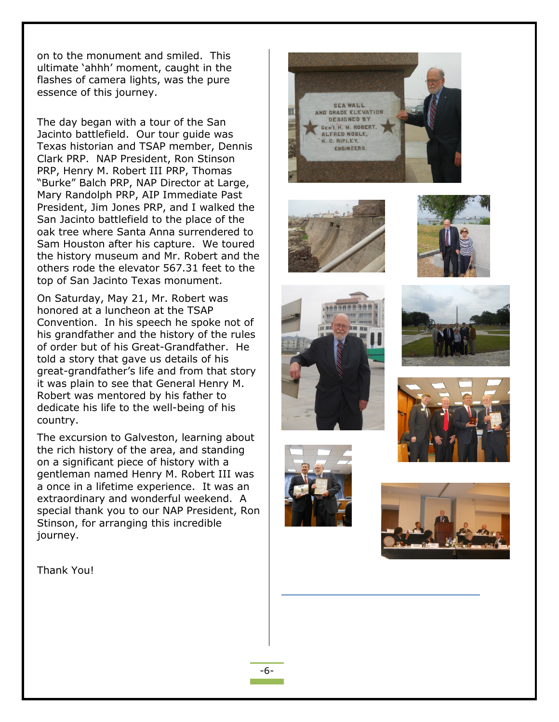on to the monument and smiled. This ultimate 'ahhh' moment, caught in the flashes of camera lights, was the pure essence of this journey.

The day began with a tour of the San Jacinto battlefield. Our tour guide was Texas historian and TSAP member, Dennis Clark PRP. NAP President, Ron Stinson PRP, Henry M. Robert III PRP, Thomas "Burke" Balch PRP, NAP Director at Large, Mary Randolph PRP, AIP Immediate Past President, Jim Jones PRP, and I walked the San Jacinto battlefield to the place of the oak tree where Santa Anna surrendered to Sam Houston after his capture. We toured the history museum and Mr. Robert and the others rode the elevator 567.31 feet to the top of San Jacinto Texas monument.

On Saturday, May 21, Mr. Robert was honored at a luncheon at the TSAP Convention. In his speech he spoke not of his grandfather and the history of the rules of order but of his Great-Grandfather. He told a story that gave us details of his great-grandfather's life and from that story it was plain to see that General Henry M. Robert was mentored by his father to dedicate his life to the well-being of his country.

The excursion to Galveston, learning about the rich history of the area, and standing on a significant piece of history with a gentleman named Henry M. Robert III was a once in a lifetime experience. It was an extraordinary and wonderful weekend. A special thank you to our NAP President, Ron Stinson, for arranging this incredible journey.

Thank You!